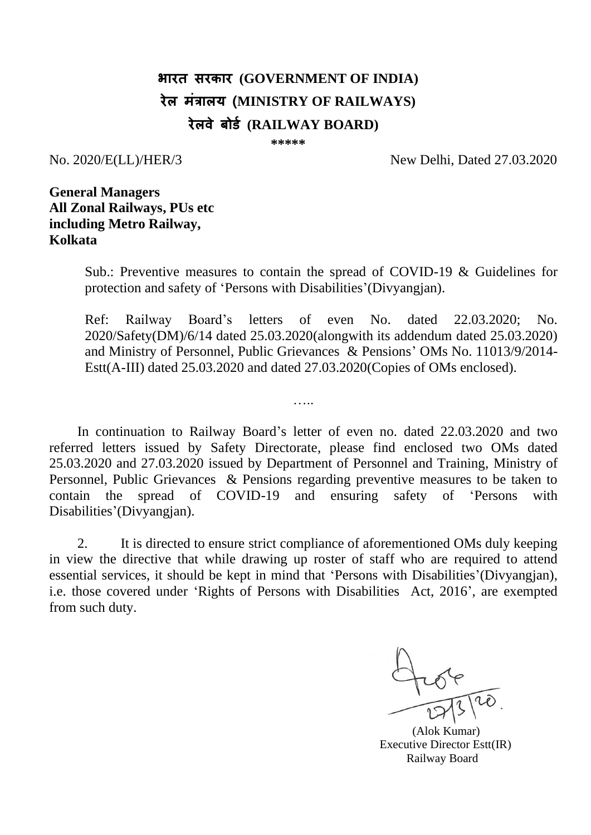# **भारत सरकार (GOVERNMENT OF INDIA) रेल मंत्रालय (MINISTRY OF RAILWAYS) रेलवे बोर्ड (RAILWAY BOARD)**

**\*\*\*\*\***

No. 2020/E(LL)/HER/3 New Delhi, Dated 27.03.2020

**General Managers All Zonal Railways, PUs etc including Metro Railway, Kolkata**

> Sub.: Preventive measures to contain the spread of COVID-19 & Guidelines for protection and safety of 'Persons with Disabilities'(Divyangjan).

> Ref: Railway Board's letters of even No. dated 22.03.2020; No. 2020/Safety(DM)/6/14 dated 25.03.2020(alongwith its addendum dated 25.03.2020) and Ministry of Personnel, Public Grievances & Pensions' OMs No. 11013/9/2014- Estt(A-III) dated 25.03.2020 and dated 27.03.2020(Copies of OMs enclosed).

In continuation to Railway Board's letter of even no. dated 22.03.2020 and two referred letters issued by Safety Directorate, please find enclosed two OMs dated 25.03.2020 and 27.03.2020 issued by Department of Personnel and Training, Ministry of Personnel, Public Grievances & Pensions regarding preventive measures to be taken to contain the spread of COVID-19 and ensuring safety of 'Persons with Disabilities'(Divyangjan).

…..

2. It is directed to ensure strict compliance of aforementioned OMs duly keeping in view the directive that while drawing up roster of staff who are required to attend essential services, it should be kept in mind that 'Persons with Disabilities'(Divyangjan), i.e. those covered under 'Rights of Persons with Disabilities Act, 2016', are exempted from such duty.

 (Alok Kumar) Executive Director Estt(IR) Railway Board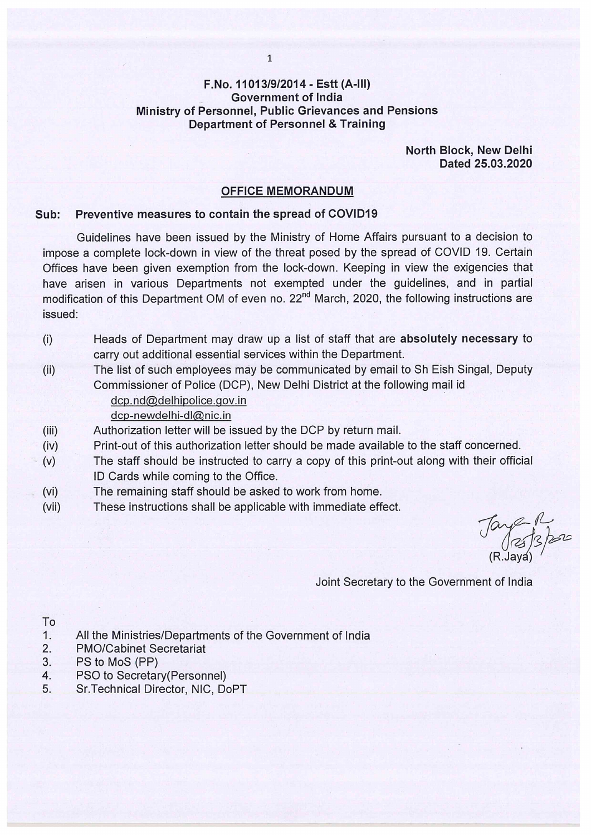#### F.No. 11013/9/2014 - Estt (A-III) **Government of India** Ministry of Personnel, Public Grievances and Pensions **Department of Personnel & Training**

North Block, New Delhi Dated 25.03.2020

#### **OFFICE MEMORANDUM**

#### Preventive measures to contain the spread of COVID19 Sub:

Guidelines have been issued by the Ministry of Home Affairs pursuant to a decision to impose a complete lock-down in view of the threat posed by the spread of COVID 19. Certain Offices have been given exemption from the lock-down. Keeping in view the exigencies that have arisen in various Departments not exempted under the guidelines, and in partial modification of this Department OM of even no. 22<sup>nd</sup> March, 2020, the following instructions are issued:

- Heads of Department may draw up a list of staff that are absolutely necessary to  $(i)$ carry out additional essential services within the Department.
- The list of such employees may be communicated by email to Sh Eish Singal, Deputy  $(ii)$ Commissioner of Police (DCP), New Delhi District at the following mail id

# dcp.nd@delhipolice.gov.in

### dcp-newdelhi-dl@nic.in

- Authorization letter will be issued by the DCP by return mail.  $(iii)$
- Print-out of this authorization letter should be made available to the staff concerned.  $(iv)$
- The staff should be instructed to carry a copy of this print-out along with their official  $(v)$ ID Cards while coming to the Office.
- The remaining staff should be asked to work from home.  $(vi)$
- These instructions shall be applicable with immediate effect.  $(vii)$

Tay 213 por

Joint Secretary to the Government of India

#### To

- $1.$ All the Ministries/Departments of the Government of India
- $2.$ **PMO/Cabinet Secretariat**
- 3. PS to MoS (PP)
- PSO to Secretary (Personnel) 4.
- Sr. Technical Director, NIC, DoPT 5.